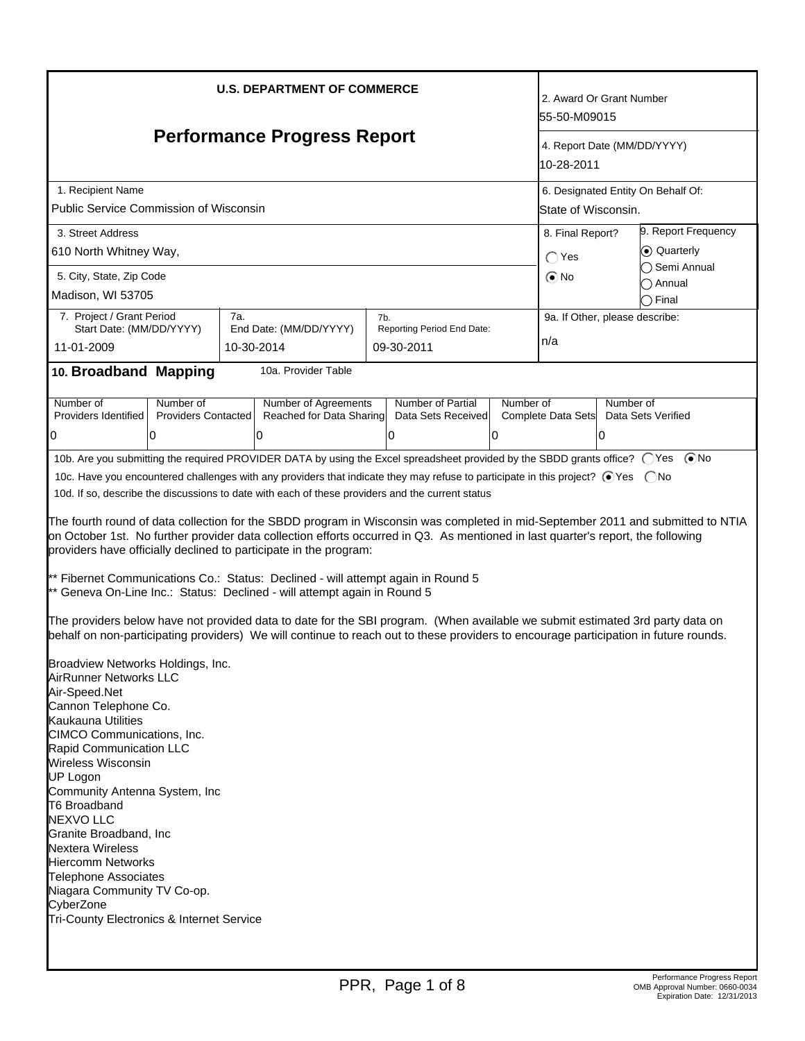| <b>U.S. DEPARTMENT OF COMMERCE</b>                                                                                                                                                                                                                                                                                                                                                                                                                                                                                                                                                                                                                                                                                                                                                                                                                                                                                                                                                                                                                                                                                                                                                                                                                                                                                                                                                                                                                                                                                                                                                                                       |                                         |     |                                                  |     | 2. Award Or Grant Number<br>l55-50-M09015 |                                           |                                    |                                 |  |
|--------------------------------------------------------------------------------------------------------------------------------------------------------------------------------------------------------------------------------------------------------------------------------------------------------------------------------------------------------------------------------------------------------------------------------------------------------------------------------------------------------------------------------------------------------------------------------------------------------------------------------------------------------------------------------------------------------------------------------------------------------------------------------------------------------------------------------------------------------------------------------------------------------------------------------------------------------------------------------------------------------------------------------------------------------------------------------------------------------------------------------------------------------------------------------------------------------------------------------------------------------------------------------------------------------------------------------------------------------------------------------------------------------------------------------------------------------------------------------------------------------------------------------------------------------------------------------------------------------------------------|-----------------------------------------|-----|--------------------------------------------------|-----|-------------------------------------------|-------------------------------------------|------------------------------------|---------------------------------|--|
| <b>Performance Progress Report</b>                                                                                                                                                                                                                                                                                                                                                                                                                                                                                                                                                                                                                                                                                                                                                                                                                                                                                                                                                                                                                                                                                                                                                                                                                                                                                                                                                                                                                                                                                                                                                                                       |                                         |     |                                                  |     |                                           | 4. Report Date (MM/DD/YYYY)<br>10-28-2011 |                                    |                                 |  |
| 1. Recipient Name                                                                                                                                                                                                                                                                                                                                                                                                                                                                                                                                                                                                                                                                                                                                                                                                                                                                                                                                                                                                                                                                                                                                                                                                                                                                                                                                                                                                                                                                                                                                                                                                        |                                         |     |                                                  |     |                                           |                                           | 6. Designated Entity On Behalf Of: |                                 |  |
| Public Service Commission of Wisconsin                                                                                                                                                                                                                                                                                                                                                                                                                                                                                                                                                                                                                                                                                                                                                                                                                                                                                                                                                                                                                                                                                                                                                                                                                                                                                                                                                                                                                                                                                                                                                                                   |                                         |     |                                                  |     |                                           |                                           | State of Wisconsin.                |                                 |  |
| 3. Street Address                                                                                                                                                                                                                                                                                                                                                                                                                                                                                                                                                                                                                                                                                                                                                                                                                                                                                                                                                                                                                                                                                                                                                                                                                                                                                                                                                                                                                                                                                                                                                                                                        |                                         |     |                                                  |     |                                           |                                           | 8. Final Report?                   | 9. Report Frequency             |  |
| 610 North Whitney Way,                                                                                                                                                                                                                                                                                                                                                                                                                                                                                                                                                                                                                                                                                                                                                                                                                                                                                                                                                                                                                                                                                                                                                                                                                                                                                                                                                                                                                                                                                                                                                                                                   |                                         |     |                                                  |     |                                           |                                           | $\bigcap$ Yes                      | ● Quarterly                     |  |
| 5. City, State, Zip Code                                                                                                                                                                                                                                                                                                                                                                                                                                                                                                                                                                                                                                                                                                                                                                                                                                                                                                                                                                                                                                                                                                                                                                                                                                                                                                                                                                                                                                                                                                                                                                                                 |                                         |     |                                                  |     |                                           |                                           | $\odot$ No                         | ◯ Semi Annual                   |  |
| Madison, WI 53705                                                                                                                                                                                                                                                                                                                                                                                                                                                                                                                                                                                                                                                                                                                                                                                                                                                                                                                                                                                                                                                                                                                                                                                                                                                                                                                                                                                                                                                                                                                                                                                                        |                                         |     |                                                  |     |                                           |                                           |                                    | ∩ Annual<br>つ Final             |  |
| 7. Project / Grant Period                                                                                                                                                                                                                                                                                                                                                                                                                                                                                                                                                                                                                                                                                                                                                                                                                                                                                                                                                                                                                                                                                                                                                                                                                                                                                                                                                                                                                                                                                                                                                                                                |                                         | 7а. |                                                  | 7b. |                                           |                                           | 9a. If Other, please describe:     |                                 |  |
| Start Date: (MM/DD/YYYY)                                                                                                                                                                                                                                                                                                                                                                                                                                                                                                                                                                                                                                                                                                                                                                                                                                                                                                                                                                                                                                                                                                                                                                                                                                                                                                                                                                                                                                                                                                                                                                                                 |                                         |     | End Date: (MM/DD/YYYY)                           |     | Reporting Period End Date:                |                                           | n/a                                |                                 |  |
| 11-01-2009                                                                                                                                                                                                                                                                                                                                                                                                                                                                                                                                                                                                                                                                                                                                                                                                                                                                                                                                                                                                                                                                                                                                                                                                                                                                                                                                                                                                                                                                                                                                                                                                               |                                         |     | 10-30-2014                                       |     | 09-30-2011                                |                                           |                                    |                                 |  |
| 10. Broadband Mapping                                                                                                                                                                                                                                                                                                                                                                                                                                                                                                                                                                                                                                                                                                                                                                                                                                                                                                                                                                                                                                                                                                                                                                                                                                                                                                                                                                                                                                                                                                                                                                                                    |                                         |     | 10a. Provider Table                              |     |                                           |                                           |                                    |                                 |  |
| Number of<br>Providers Identified                                                                                                                                                                                                                                                                                                                                                                                                                                                                                                                                                                                                                                                                                                                                                                                                                                                                                                                                                                                                                                                                                                                                                                                                                                                                                                                                                                                                                                                                                                                                                                                        | Number of<br><b>Providers Contacted</b> |     | Number of Agreements<br>Reached for Data Sharing |     | Number of Partial<br>Data Sets Received   | Number of                                 | Complete Data Sets                 | Number of<br>Data Sets Verified |  |
|                                                                                                                                                                                                                                                                                                                                                                                                                                                                                                                                                                                                                                                                                                                                                                                                                                                                                                                                                                                                                                                                                                                                                                                                                                                                                                                                                                                                                                                                                                                                                                                                                          | 10                                      |     | 0                                                |     | 0                                         | 0                                         |                                    | 10                              |  |
| 0                                                                                                                                                                                                                                                                                                                                                                                                                                                                                                                                                                                                                                                                                                                                                                                                                                                                                                                                                                                                                                                                                                                                                                                                                                                                                                                                                                                                                                                                                                                                                                                                                        |                                         |     |                                                  |     |                                           |                                           |                                    |                                 |  |
| 10b. Are you submitting the required PROVIDER DATA by using the Excel spreadsheet provided by the SBDD grants office? ○ Yes ● No<br>10c. Have you encountered challenges with any providers that indicate they may refuse to participate in this project? ⊙ Yes  ONo<br>10d. If so, describe the discussions to date with each of these providers and the current status<br>The fourth round of data collection for the SBDD program in Wisconsin was completed in mid-September 2011 and submitted to NTIA<br>on October 1st. No further provider data collection efforts occurred in Q3. As mentioned in last quarter's report, the following<br>providers have officially declined to participate in the program:<br>** Fibernet Communications Co.: Status: Declined - will attempt again in Round 5<br>** Geneva On-Line Inc.: Status: Declined - will attempt again in Round 5<br>The providers below have not provided data to date for the SBI program. (When available we submit estimated 3rd party data on<br>behalf on non-participating providers) We will continue to reach out to these providers to encourage participation in future rounds.<br>Broadview Networks Holdings, Inc.<br>AirRunner Networks LLC<br>Air-Speed.Net<br>Cannon Telephone Co.<br>Kaukauna Utilities<br>CIMCO Communications, Inc.<br>Rapid Communication LLC<br>Wireless Wisconsin<br><b>UP Logon</b><br>Community Antenna System, Inc<br><b>T6 Broadband</b><br><b>NEXVO LLC</b><br>Granite Broadband, Inc<br><b>Nextera Wireless</b><br><b>Hiercomm Networks</b><br><b>Telephone Associates</b><br>Niagara Community TV Co-op. |                                         |     |                                                  |     |                                           |                                           |                                    |                                 |  |
| Tri-County Electronics & Internet Service                                                                                                                                                                                                                                                                                                                                                                                                                                                                                                                                                                                                                                                                                                                                                                                                                                                                                                                                                                                                                                                                                                                                                                                                                                                                                                                                                                                                                                                                                                                                                                                |                                         |     |                                                  |     |                                           |                                           |                                    |                                 |  |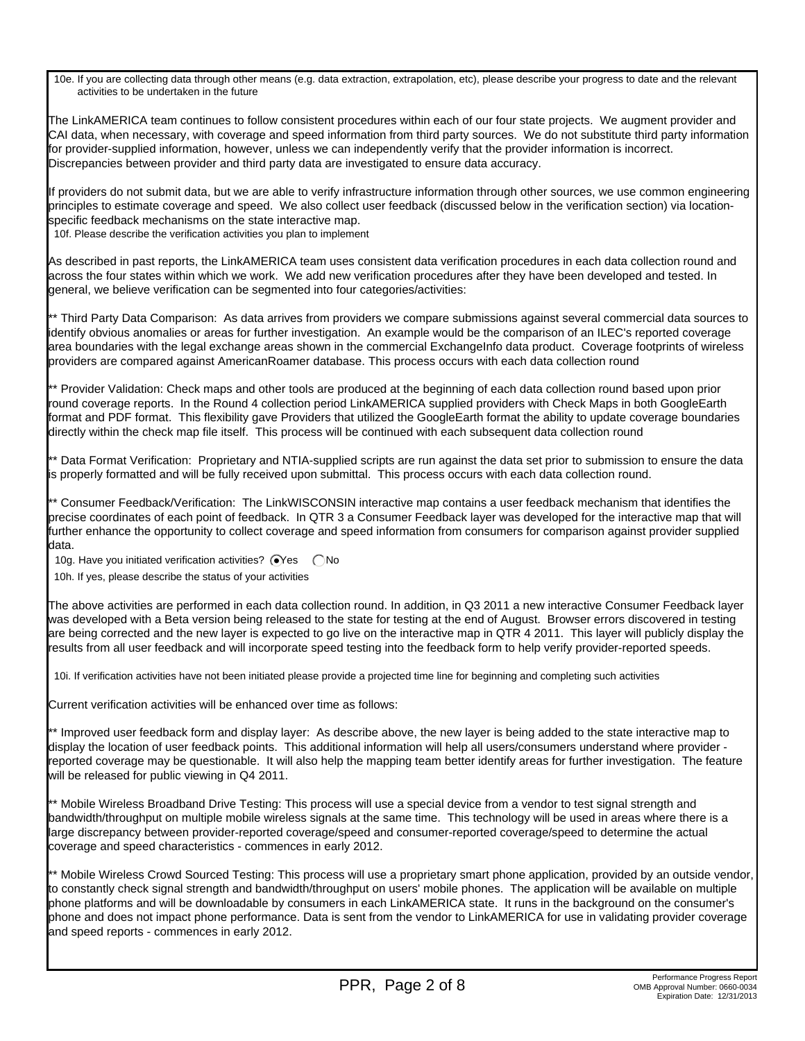10e. If you are collecting data through other means (e.g. data extraction, extrapolation, etc), please describe your progress to date and the relevant activities to be undertaken in the future

The LinkAMERICA team continues to follow consistent procedures within each of our four state projects. We augment provider and CAI data, when necessary, with coverage and speed information from third party sources. We do not substitute third party information for provider-supplied information, however, unless we can independently verify that the provider information is incorrect. Discrepancies between provider and third party data are investigated to ensure data accuracy.

If providers do not submit data, but we are able to verify infrastructure information through other sources, we use common engineering principles to estimate coverage and speed. We also collect user feedback (discussed below in the verification section) via locationspecific feedback mechanisms on the state interactive map.

10f. Please describe the verification activities you plan to implement

As described in past reports, the LinkAMERICA team uses consistent data verification procedures in each data collection round and across the four states within which we work. We add new verification procedures after they have been developed and tested. In general, we believe verification can be segmented into four categories/activities:

\*\* Third Party Data Comparison: As data arrives from providers we compare submissions against several commercial data sources to identify obvious anomalies or areas for further investigation. An example would be the comparison of an ILEC's reported coverage area boundaries with the legal exchange areas shown in the commercial ExchangeInfo data product. Coverage footprints of wireless providers are compared against AmericanRoamer database. This process occurs with each data collection round

\*\* Provider Validation: Check maps and other tools are produced at the beginning of each data collection round based upon prior round coverage reports. In the Round 4 collection period LinkAMERICA supplied providers with Check Maps in both GoogleEarth format and PDF format. This flexibility gave Providers that utilized the GoogleEarth format the ability to update coverage boundaries directly within the check map file itself. This process will be continued with each subsequent data collection round

\*\* Data Format Verification: Proprietary and NTIA-supplied scripts are run against the data set prior to submission to ensure the data is properly formatted and will be fully received upon submittal. This process occurs with each data collection round.

\*\* Consumer Feedback/Verification: The LinkWISCONSIN interactive map contains a user feedback mechanism that identifies the precise coordinates of each point of feedback. In QTR 3 a Consumer Feedback layer was developed for the interactive map that will further enhance the opportunity to collect coverage and speed information from consumers for comparison against provider supplied data.

10g. Have you initiated verification activities?  $\bigcirc$ Yes  $\bigcirc$ No

10h. If yes, please describe the status of your activities

The above activities are performed in each data collection round. In addition, in Q3 2011 a new interactive Consumer Feedback layer was developed with a Beta version being released to the state for testing at the end of August. Browser errors discovered in testing are being corrected and the new layer is expected to go live on the interactive map in QTR 4 2011. This layer will publicly display the results from all user feedback and will incorporate speed testing into the feedback form to help verify provider-reported speeds.

10i. If verification activities have not been initiated please provide a projected time line for beginning and completing such activities

Current verification activities will be enhanced over time as follows:

\*\* Improved user feedback form and display layer: As describe above, the new layer is being added to the state interactive map to display the location of user feedback points. This additional information will help all users/consumers understand where provider reported coverage may be questionable. It will also help the mapping team better identify areas for further investigation. The feature will be released for public viewing in Q4 2011.

\*\* Mobile Wireless Broadband Drive Testing: This process will use a special device from a vendor to test signal strength and bandwidth/throughput on multiple mobile wireless signals at the same time. This technology will be used in areas where there is a large discrepancy between provider-reported coverage/speed and consumer-reported coverage/speed to determine the actual coverage and speed characteristics - commences in early 2012.

\*\* Mobile Wireless Crowd Sourced Testing: This process will use a proprietary smart phone application, provided by an outside vendor, to constantly check signal strength and bandwidth/throughput on users' mobile phones. The application will be available on multiple phone platforms and will be downloadable by consumers in each LinkAMERICA state. It runs in the background on the consumer's phone and does not impact phone performance. Data is sent from the vendor to LinkAMERICA for use in validating provider coverage and speed reports - commences in early 2012.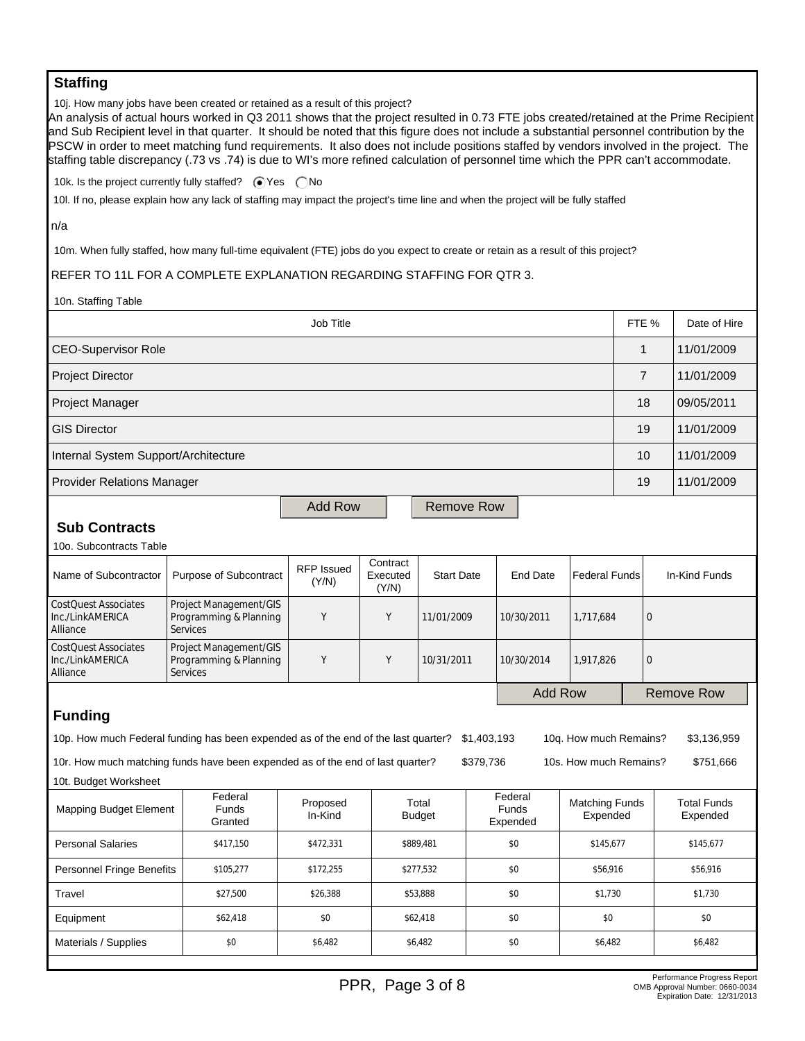## **Staffing**

10j. How many jobs have been created or retained as a result of this project?

An analysis of actual hours worked in Q3 2011 shows that the project resulted in 0.73 FTE jobs created/retained at the Prime Recipient and Sub Recipient level in that quarter. It should be noted that this figure does not include a substantial personnel contribution by the PSCW in order to meet matching fund requirements. It also does not include positions staffed by vendors involved in the project. The staffing table discrepancy (.73 vs .74) is due to WI's more refined calculation of personnel time which the PPR can't accommodate.

10k. Is the project currently fully staffed?  $\bigcirc$  Yes  $\bigcirc$  No

10l. If no, please explain how any lack of staffing may impact the project's time line and when the project will be fully staffed

n/a

10m. When fully staffed, how many full-time equivalent (FTE) jobs do you expect to create or retain as a result of this project?

#### REFER TO 11L FOR A COMPLETE EXPLANATION REGARDING STAFFING FOR QTR 3.

10n. Staffing Table

| Job Title                                                                                                                                  |                                                                     |                            |                               |                        |           |                              |                                   | FTE %          |            | Date of Hire                   |
|--------------------------------------------------------------------------------------------------------------------------------------------|---------------------------------------------------------------------|----------------------------|-------------------------------|------------------------|-----------|------------------------------|-----------------------------------|----------------|------------|--------------------------------|
| <b>CEO-Supervisor Role</b>                                                                                                                 |                                                                     |                            |                               |                        |           |                              | $\mathbf{1}$                      |                | 11/01/2009 |                                |
| <b>Project Director</b>                                                                                                                    |                                                                     |                            |                               |                        |           |                              |                                   | $\overline{7}$ |            | 11/01/2009                     |
| Project Manager                                                                                                                            |                                                                     |                            |                               |                        |           |                              |                                   | 18             |            | 09/05/2011                     |
| <b>GIS Director</b>                                                                                                                        |                                                                     |                            |                               |                        |           |                              |                                   | 19             |            | 11/01/2009                     |
| Internal System Support/Architecture                                                                                                       |                                                                     |                            |                               |                        |           |                              |                                   | 10             |            | 11/01/2009                     |
| <b>Provider Relations Manager</b>                                                                                                          |                                                                     |                            |                               |                        |           |                              | 19                                |                | 11/01/2009 |                                |
|                                                                                                                                            |                                                                     | <b>Add Row</b>             |                               | <b>Remove Row</b>      |           |                              |                                   |                |            |                                |
| <b>Sub Contracts</b>                                                                                                                       |                                                                     |                            |                               |                        |           |                              |                                   |                |            |                                |
| 10o. Subcontracts Table                                                                                                                    |                                                                     |                            |                               |                        |           |                              |                                   |                |            |                                |
| Name of Subcontractor                                                                                                                      | Purpose of Subcontract                                              | <b>RFP Issued</b><br>(Y/N) | Contract<br>Executed<br>(Y/N) | <b>Start Date</b>      |           | <b>End Date</b>              | <b>Federal Funds</b>              |                |            | In-Kind Funds                  |
| <b>CostQuest Associates</b><br>Inc./LinkAMERICA<br>Alliance                                                                                | Project Management/GIS<br>Programming & Planning<br><b>Services</b> | Y                          | Y                             | 11/01/2009             |           | 10/30/2011                   | 1,717,684                         |                | $\Omega$   |                                |
| <b>CostQuest Associates</b><br>Inc./LinkAMERICA<br>Alliance                                                                                | Project Management/GIS<br>Programming & Planning<br>Services        | Y                          | Y                             | 10/31/2011             |           | 10/30/2014                   | 1,917,826                         |                | 0          |                                |
| <b>Add Row</b>                                                                                                                             |                                                                     |                            |                               |                        |           |                              |                                   | Remove Row     |            |                                |
| <b>Funding</b>                                                                                                                             |                                                                     |                            |                               |                        |           |                              |                                   |                |            |                                |
| 10p. How much Federal funding has been expended as of the end of the last quarter?<br>\$1,403,193<br>10q. How much Remains?<br>\$3.136.959 |                                                                     |                            |                               |                        |           |                              |                                   |                |            |                                |
| 10r. How much matching funds have been expended as of the end of last quarter?                                                             |                                                                     |                            |                               |                        | \$379,736 |                              | 10s. How much Remains?            |                |            | \$751,666                      |
| 10t. Budget Worksheet                                                                                                                      |                                                                     |                            |                               |                        |           |                              |                                   |                |            |                                |
| Mapping Budget Element                                                                                                                     | Federal<br><b>Funds</b><br>Granted                                  | Proposed<br>In-Kind        |                               | Total<br><b>Budget</b> |           | Federal<br>Funds<br>Expended | <b>Matching Funds</b><br>Expended |                |            | <b>Total Funds</b><br>Expended |
| <b>Personal Salaries</b>                                                                                                                   | \$417,150                                                           | \$472,331                  |                               | \$889,481              |           | \$0                          | \$145,677                         |                | \$145,677  |                                |
| <b>Personnel Fringe Benefits</b>                                                                                                           | \$105,277                                                           | \$172,255                  |                               | \$277,532              |           | \$0                          | \$56,916                          |                | \$56,916   |                                |
| Travel                                                                                                                                     | \$27,500                                                            |                            |                               | \$53,888               |           | \$0                          |                                   | \$1,730        |            | \$1,730                        |
| Equipment                                                                                                                                  | \$62,418                                                            | \$0                        |                               | \$62,418               |           | \$0                          | \$0                               |                |            | \$0                            |
| Materials / Supplies                                                                                                                       | \$0                                                                 | \$6,482                    |                               | \$6,482                |           | \$0                          | \$6,482                           |                |            | \$6,482                        |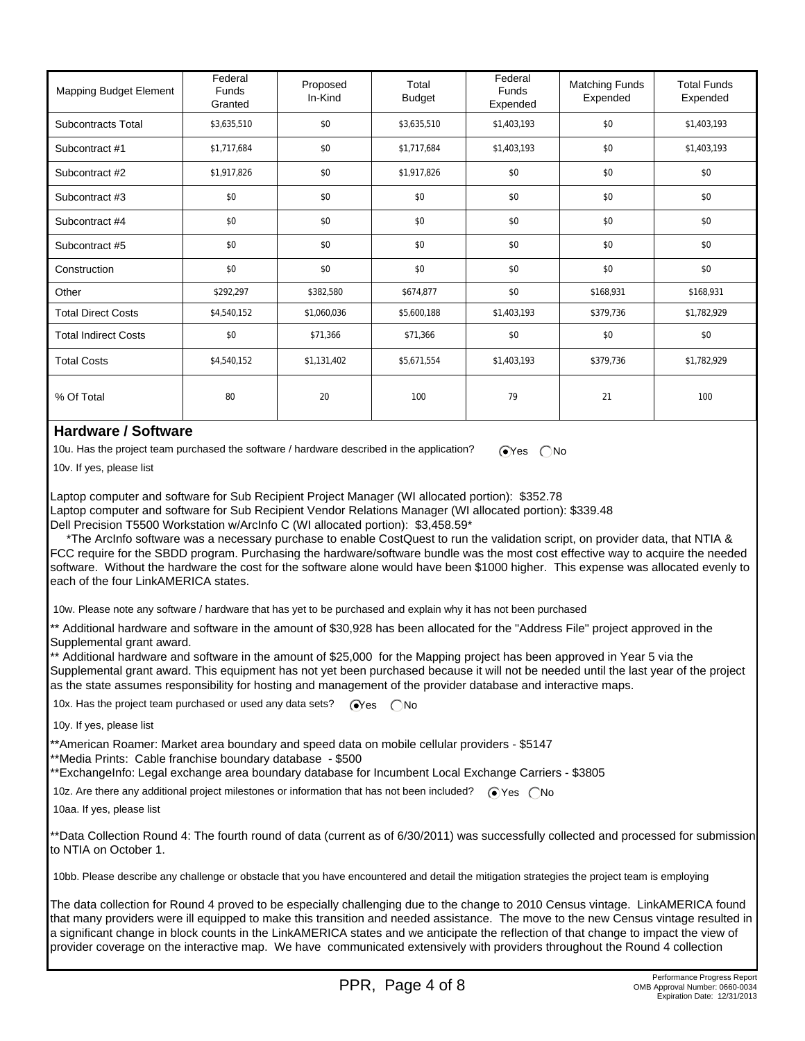| <b>Mapping Budget Element</b> | Federal<br><b>Funds</b><br>Granted | Proposed<br>In-Kind | Total<br><b>Budget</b> | Federal<br>Funds<br>Expended | <b>Matching Funds</b><br>Expended | <b>Total Funds</b><br>Expended |
|-------------------------------|------------------------------------|---------------------|------------------------|------------------------------|-----------------------------------|--------------------------------|
| Subcontracts Total            | \$3,635,510                        | \$0                 | \$3,635,510            | \$1,403,193                  | \$0                               | \$1,403,193                    |
| Subcontract #1                | \$1,717,684                        | \$0                 | \$1,717,684            | \$1,403,193                  | \$0                               | \$1,403,193                    |
| Subcontract #2                | \$1,917,826                        | \$0                 | \$1,917,826            | \$0                          | \$0                               | \$0                            |
| Subcontract #3                | \$0                                | \$0                 | \$0                    | \$0                          | \$0                               | \$0                            |
| Subcontract #4                | \$0                                | \$0                 | \$0                    | \$0                          | \$0                               | \$0                            |
| Subcontract #5                | \$0                                | \$0                 | \$0                    | \$0                          | \$0                               | \$0                            |
| Construction                  | \$0                                | \$0                 | \$0                    | \$0                          | \$0                               | \$0                            |
| Other                         | \$292,297                          | \$382,580           | \$674,877              | \$0                          | \$168,931                         | \$168,931                      |
| <b>Total Direct Costs</b>     | \$4,540,152                        | \$1,060,036         | \$5,600,188            | \$1,403,193                  | \$379,736                         | \$1,782,929                    |
| <b>Total Indirect Costs</b>   | \$0                                | \$71,366            | \$71,366               | \$0                          | \$0                               | \$0                            |
| <b>Total Costs</b>            | \$4,540,152                        | \$1,131,402         | \$5,671,554            | \$1,403,193                  | \$379,736                         | \$1,782,929                    |
| % Of Total                    | 80                                 | 20                  | 100                    | 79                           | 21                                | 100                            |

### **Hardware / Software**

10u. Has the project team purchased the software / hardware described in the application?  $\bigcirc$  Yes  $\bigcirc$  No

10v. If yes, please list

Laptop computer and software for Sub Recipient Project Manager (WI allocated portion): \$352.78 Laptop computer and software for Sub Recipient Vendor Relations Manager (WI allocated portion): \$339.48 Dell Precision T5500 Workstation w/ArcInfo C (WI allocated portion): \$3,458.59\*

 \*The ArcInfo software was a necessary purchase to enable CostQuest to run the validation script, on provider data, that NTIA & FCC require for the SBDD program. Purchasing the hardware/software bundle was the most cost effective way to acquire the needed software. Without the hardware the cost for the software alone would have been \$1000 higher. This expense was allocated evenly to each of the four LinkAMERICA states.

10w. Please note any software / hardware that has yet to be purchased and explain why it has not been purchased

\*\* Additional hardware and software in the amount of \$30,928 has been allocated for the "Address File" project approved in the Supplemental grant award.

\*\* Additional hardware and software in the amount of \$25,000 for the Mapping project has been approved in Year 5 via the Supplemental grant award. This equipment has not yet been purchased because it will not be needed until the last year of the project as the state assumes responsibility for hosting and management of the provider database and interactive maps.

10x. Has the project team purchased or used any data sets?  $\bigcirc$ Yes  $\bigcirc$ No

10y. If yes, please list

\*\*American Roamer: Market area boundary and speed data on mobile cellular providers - \$5147

\*\*Media Prints: Cable franchise boundary database - \$500

\*\*ExchangeInfo: Legal exchange area boundary database for Incumbent Local Exchange Carriers - \$3805

10z. Are there any additional project milestones or information that has not been included?  $\bigcirc$  Yes  $\bigcirc$  No

10aa. If yes, please list

\*\*Data Collection Round 4: The fourth round of data (current as of 6/30/2011) was successfully collected and processed for submission to NTIA on October 1.

10bb. Please describe any challenge or obstacle that you have encountered and detail the mitigation strategies the project team is employing

The data collection for Round 4 proved to be especially challenging due to the change to 2010 Census vintage. LinkAMERICA found that many providers were ill equipped to make this transition and needed assistance. The move to the new Census vintage resulted in a significant change in block counts in the LinkAMERICA states and we anticipate the reflection of that change to impact the view of provider coverage on the interactive map. We have communicated extensively with providers throughout the Round 4 collection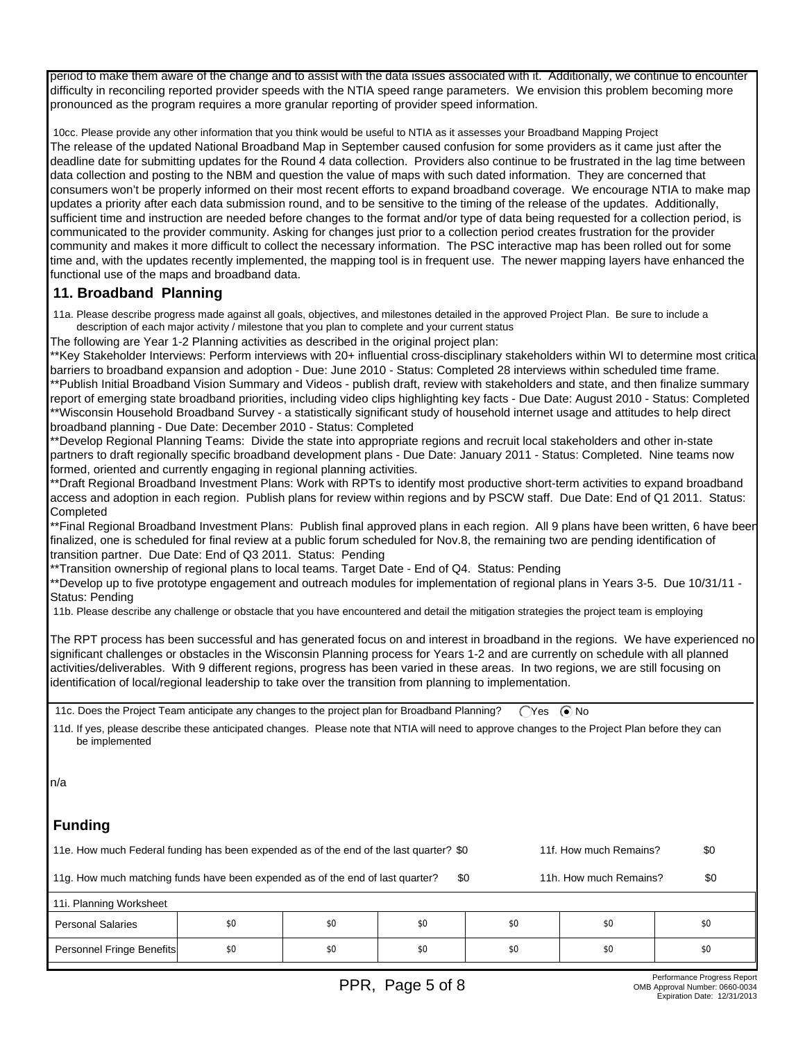period to make them aware of the change and to assist with the data issues associated with it. Additionally, we continue to encounter difficulty in reconciling reported provider speeds with the NTIA speed range parameters. We envision this problem becoming more pronounced as the program requires a more granular reporting of provider speed information.

 10cc. Please provide any other information that you think would be useful to NTIA as it assesses your Broadband Mapping Project The release of the updated National Broadband Map in September caused confusion for some providers as it came just after the deadline date for submitting updates for the Round 4 data collection. Providers also continue to be frustrated in the lag time between data collection and posting to the NBM and question the value of maps with such dated information. They are concerned that consumers won't be properly informed on their most recent efforts to expand broadband coverage. We encourage NTIA to make map updates a priority after each data submission round, and to be sensitive to the timing of the release of the updates. Additionally, sufficient time and instruction are needed before changes to the format and/or type of data being requested for a collection period, is communicated to the provider community. Asking for changes just prior to a collection period creates frustration for the provider community and makes it more difficult to collect the necessary information. The PSC interactive map has been rolled out for some time and, with the updates recently implemented, the mapping tool is in frequent use. The newer mapping layers have enhanced the functional use of the maps and broadband data.

## **11. Broadband Planning**

 11a. Please describe progress made against all goals, objectives, and milestones detailed in the approved Project Plan. Be sure to include a description of each major activity / milestone that you plan to complete and your current status

The following are Year 1-2 Planning activities as described in the original project plan:

\*\*Key Stakeholder Interviews: Perform interviews with 20+ influential cross-disciplinary stakeholders within WI to determine most critical barriers to broadband expansion and adoption - Due: June 2010 - Status: Completed 28 interviews within scheduled time frame. \*\*Publish Initial Broadband Vision Summary and Videos - publish draft, review with stakeholders and state, and then finalize summary report of emerging state broadband priorities, including video clips highlighting key facts - Due Date: August 2010 - Status: Completed \*\*Wisconsin Household Broadband Survey - a statistically significant study of household internet usage and attitudes to help direct broadband planning - Due Date: December 2010 - Status: Completed

\*\*Develop Regional Planning Teams: Divide the state into appropriate regions and recruit local stakeholders and other in-state partners to draft regionally specific broadband development plans - Due Date: January 2011 - Status: Completed. Nine teams now formed, oriented and currently engaging in regional planning activities.

\*\*Draft Regional Broadband Investment Plans: Work with RPTs to identify most productive short-term activities to expand broadband access and adoption in each region. Publish plans for review within regions and by PSCW staff. Due Date: End of Q1 2011. Status: **Completed** 

\*\*Final Regional Broadband Investment Plans: Publish final approved plans in each region. All 9 plans have been written, 6 have been finalized, one is scheduled for final review at a public forum scheduled for Nov.8, the remaining two are pending identification of transition partner. Due Date: End of Q3 2011. Status: Pending

\*\*Transition ownership of regional plans to local teams. Target Date - End of Q4. Status: Pending

\*\*Develop up to five prototype engagement and outreach modules for implementation of regional plans in Years 3-5. Due 10/31/11 - Status: Pending

11b. Please describe any challenge or obstacle that you have encountered and detail the mitigation strategies the project team is employing

The RPT process has been successful and has generated focus on and interest in broadband in the regions. We have experienced no significant challenges or obstacles in the Wisconsin Planning process for Years 1-2 and are currently on schedule with all planned activities/deliverables. With 9 different regions, progress has been varied in these areas. In two regions, we are still focusing on identification of local/regional leadership to take over the transition from planning to implementation.

11c. Does the Project Team anticipate any changes to the project plan for Broadband Planning?  $\bigcap$ Yes  $\bigcirc$  No

 11d. If yes, please describe these anticipated changes. Please note that NTIA will need to approve changes to the Project Plan before they can be implemented

# **Funding**

| 11e. How much Federal funding has been expended as of the end of the last quarter? \$0                          |     |     | 11f. How much Remains? |     |     |     |  |
|-----------------------------------------------------------------------------------------------------------------|-----|-----|------------------------|-----|-----|-----|--|
| 11g. How much matching funds have been expended as of the end of last quarter?<br>11h. How much Remains?<br>\$0 |     |     |                        |     |     |     |  |
| 11. Planning Worksheet                                                                                          |     |     |                        |     |     |     |  |
| <b>Personal Salaries</b>                                                                                        | \$0 | \$0 | \$0                    | \$0 | \$0 | \$0 |  |
| Personnel Fringe Benefits                                                                                       | \$0 | \$0 | \$0                    | \$0 | \$0 | \$0 |  |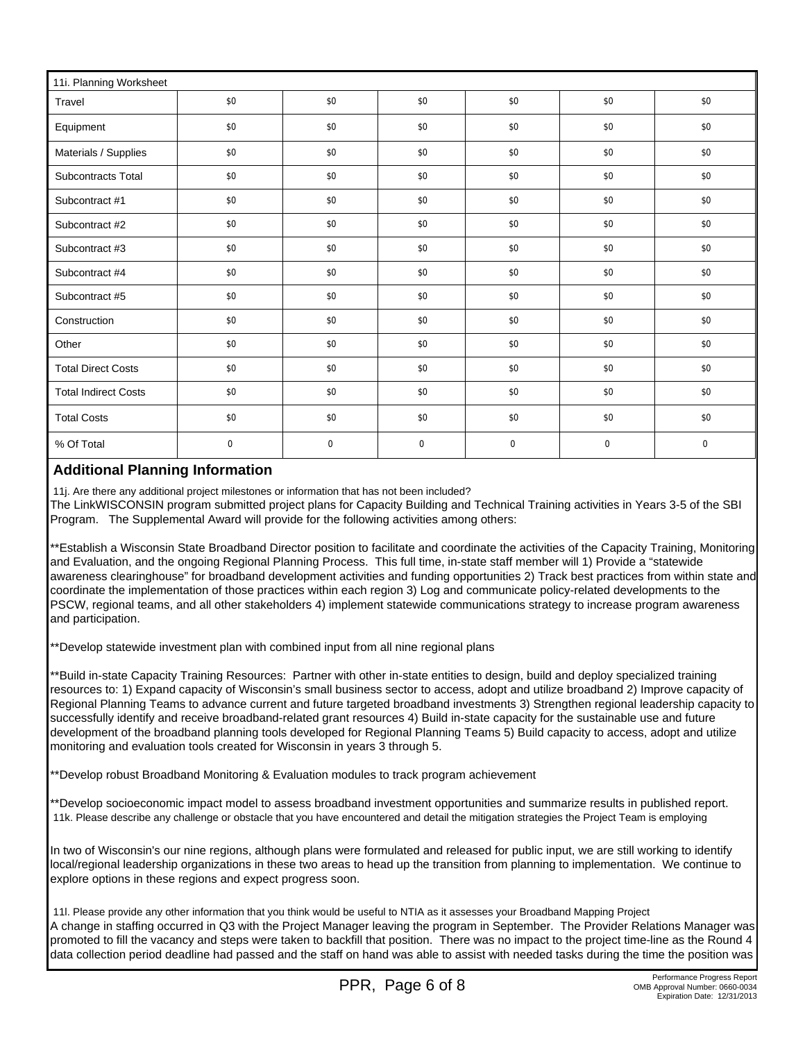| 11i. Planning Worksheet     |             |             |             |             |             |             |  |
|-----------------------------|-------------|-------------|-------------|-------------|-------------|-------------|--|
| Travel                      | \$0         | \$0         | \$0         | \$0         | \$0         | \$0         |  |
| Equipment                   | \$0         | \$0         | \$0         | \$0         | \$0         | \$0         |  |
| Materials / Supplies        | \$0         | \$0         | \$0         | \$0         | \$0         | \$0         |  |
| Subcontracts Total          | \$0         | \$0         | \$0         | \$0         | \$0         | \$0         |  |
| Subcontract #1              | \$0         | \$0         | \$0         | \$0         | \$0         | \$0         |  |
| Subcontract #2              | \$0         | \$0         | \$0         | \$0         | \$0         | \$0         |  |
| Subcontract #3              | \$0         | \$0         | \$0         | \$0         | \$0         | \$0         |  |
| Subcontract #4              | \$0         | \$0         | \$0         | \$0         | \$0         | \$0         |  |
| Subcontract #5              | \$0         | \$0         | \$0         | \$0         | \$0         | \$0         |  |
| Construction                | \$0         | \$0         | \$0         | \$0         | \$0         | \$0         |  |
| Other                       | \$0         | \$0         | \$0         | \$0         | \$0         | \$0         |  |
| <b>Total Direct Costs</b>   | \$0         | \$0         | \$0         | \$0         | \$0         | \$0         |  |
| <b>Total Indirect Costs</b> | \$0         | \$0         | \$0         | \$0         | \$0         | \$0         |  |
| <b>Total Costs</b>          | \$0         | \$0         | \$0         | \$0         | \$0         | \$0         |  |
| % Of Total                  | $\mathbf 0$ | $\mathbf 0$ | $\mathbf 0$ | $\mathbf 0$ | $\mathbf 0$ | $\mathbf 0$ |  |

# **Additional Planning Information**

11j. Are there any additional project milestones or information that has not been included?

The LinkWISCONSIN program submitted project plans for Capacity Building and Technical Training activities in Years 3-5 of the SBI Program. The Supplemental Award will provide for the following activities among others:

\*\*Establish a Wisconsin State Broadband Director position to facilitate and coordinate the activities of the Capacity Training, Monitoring and Evaluation, and the ongoing Regional Planning Process. This full time, in-state staff member will 1) Provide a "statewide awareness clearinghouse" for broadband development activities and funding opportunities 2) Track best practices from within state and coordinate the implementation of those practices within each region 3) Log and communicate policy-related developments to the PSCW, regional teams, and all other stakeholders 4) implement statewide communications strategy to increase program awareness and participation.

\*\*Develop statewide investment plan with combined input from all nine regional plans

\*\*Build in-state Capacity Training Resources: Partner with other in-state entities to design, build and deploy specialized training resources to: 1) Expand capacity of Wisconsin's small business sector to access, adopt and utilize broadband 2) Improve capacity of Regional Planning Teams to advance current and future targeted broadband investments 3) Strengthen regional leadership capacity to successfully identify and receive broadband-related grant resources 4) Build in-state capacity for the sustainable use and future development of the broadband planning tools developed for Regional Planning Teams 5) Build capacity to access, adopt and utilize monitoring and evaluation tools created for Wisconsin in years 3 through 5.

\*\*Develop robust Broadband Monitoring & Evaluation modules to track program achievement

\*\*Develop socioeconomic impact model to assess broadband investment opportunities and summarize results in published report. 11k. Please describe any challenge or obstacle that you have encountered and detail the mitigation strategies the Project Team is employing

In two of Wisconsin's our nine regions, although plans were formulated and released for public input, we are still working to identify local/regional leadership organizations in these two areas to head up the transition from planning to implementation. We continue to explore options in these regions and expect progress soon.

 11l. Please provide any other information that you think would be useful to NTIA as it assesses your Broadband Mapping Project A change in staffing occurred in Q3 with the Project Manager leaving the program in September. The Provider Relations Manager was promoted to fill the vacancy and steps were taken to backfill that position. There was no impact to the project time-line as the Round 4 data collection period deadline had passed and the staff on hand was able to assist with needed tasks during the time the position was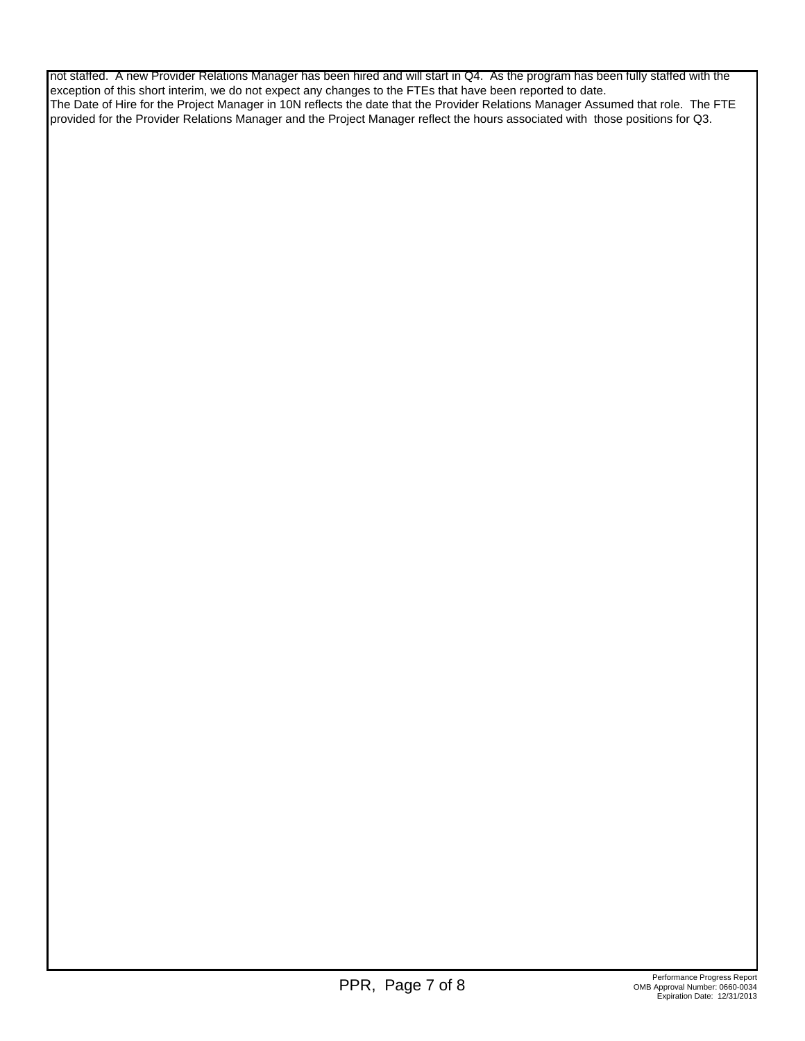not staffed. A new Provider Relations Manager has been hired and will start in Q4. As the program has been fully staffed with the exception of this short interim, we do not expect any changes to the FTEs that have been reported to date. The Date of Hire for the Project Manager in 10N reflects the date that the Provider Relations Manager Assumed that role. The FTE provided for the Provider Relations Manager and the Project Manager reflect the hours associated with those positions for Q3.